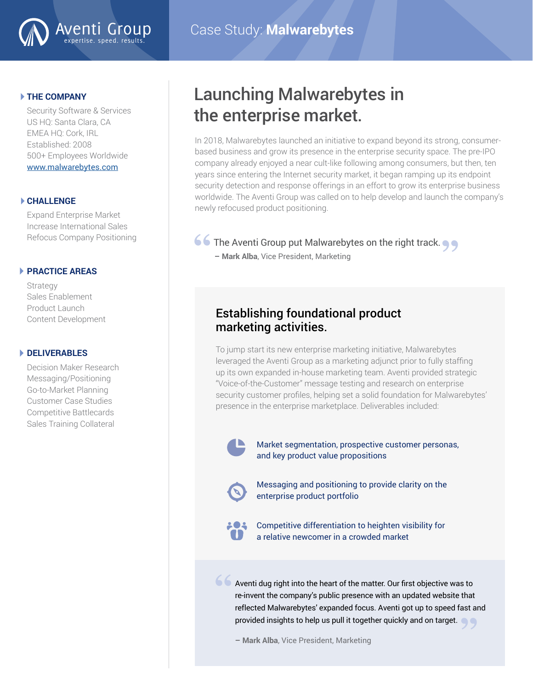

#### **THE COMPANY**

Security Software & Services US HQ: Santa Clara, CA EMEA HQ: Cork, IRL Established: 2008 500+ Employees Worldwide [www.malwarebytes.com](http://www.malwarebytes.com )

#### **CHALLENGE**

Expand Enterprise Market Increase International Sales Refocus Company Positioning

#### **PRACTICE AREAS**

Strategy Sales Enablement Product Launch Content Development

#### **DELIVERABLES**

Decision Maker Research Messaging/Positioning Go-to-Market Planning Customer Case Studies Competitive Battlecards Sales Training Collateral

## Launching Malwarebytes in the enterprise market.

In 2018, Malwarebytes launched an initiative to expand beyond its strong, consumerbased business and grow its presence in the enterprise security space. The pre-IPO company already enjoyed a near cult-like following among consumers, but then, ten years since entering the Internet security market, it began ramping up its endpoint security detection and response offerings in an effort to grow its enterprise business worldwide. The Aventi Group was called on to help develop and launch the company's newly refocused product positioning.

# **66** The Aventi Group put Malwarebytes on the right track.<br> **- Mark Alba**, Vice President, Marketing

**– Mark Alba**, Vice President, Marketing

### Establishing foundational product marketing activities.

To jump start its new enterprise marketing initiative, Malwarebytes leveraged the Aventi Group as a marketing adjunct prior to fully staffing up its own expanded in-house marketing team. Aventi provided strategic "Voice-of-the-Customer" message testing and research on enterprise security customer profiles, helping set a solid foundation for Malwarebytes' presence in the enterprise marketplace. Deliverables included:



Market segmentation, prospective customer personas, and key product value propositions



Messaging and positioning to provide clarity on the enterprise product portfolio



**"**

Competitive differentiation to heighten visibility for a relative newcomer in a crowded market

Aventi dug right into the heart of the matter. Our first objective was to re-invent the company's public presence with an updated website that reflected Malwarebytes' expanded focus. Aventi got up to speed fast and provided insights to help us pull it together quickly and on target.<br>— Mark Alba, Vice President, Marketing

**– Mark Alba**, Vice President, Marketing